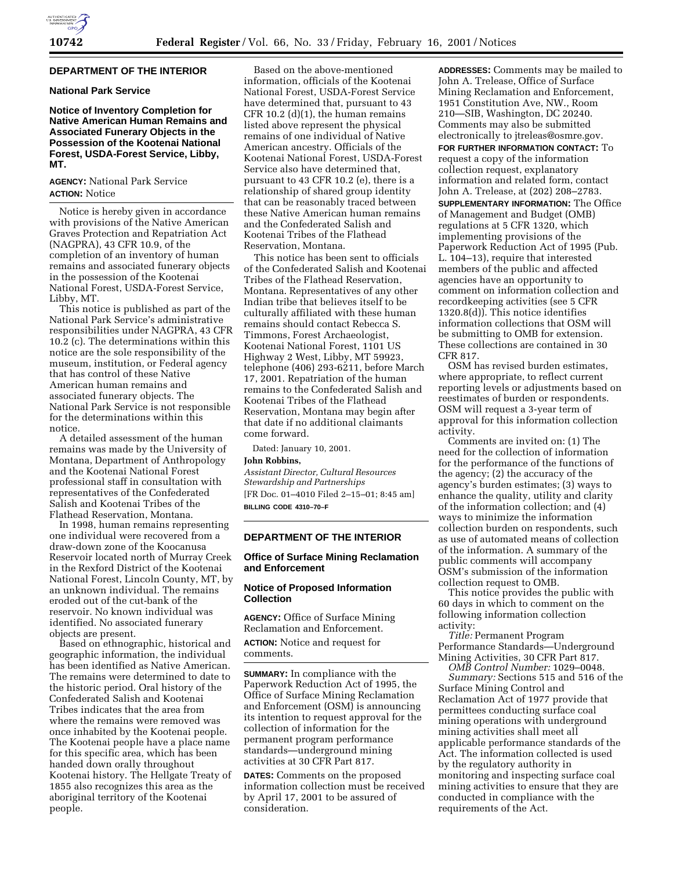## **DEPARTMENT OF THE INTERIOR**

# **National Park Service**

**Notice of Inventory Completion for Native American Human Remains and Associated Funerary Objects in the Possession of the Kootenai National Forest, USDA-Forest Service, Libby, MT.**

## **AGENCY:** National Park Service **ACTION:** Notice

Notice is hereby given in accordance with provisions of the Native American Graves Protection and Repatriation Act (NAGPRA), 43 CFR 10.9, of the completion of an inventory of human remains and associated funerary objects in the possession of the Kootenai National Forest, USDA-Forest Service, Libby, MT.

This notice is published as part of the National Park Service's administrative responsibilities under NAGPRA, 43 CFR 10.2 (c). The determinations within this notice are the sole responsibility of the museum, institution, or Federal agency that has control of these Native American human remains and associated funerary objects. The National Park Service is not responsible for the determinations within this notice.

A detailed assessment of the human remains was made by the University of Montana, Department of Anthropology and the Kootenai National Forest professional staff in consultation with representatives of the Confederated Salish and Kootenai Tribes of the Flathead Reservation, Montana.

In 1998, human remains representing one individual were recovered from a draw-down zone of the Koocanusa Reservoir located north of Murray Creek in the Rexford District of the Kootenai National Forest, Lincoln County, MT, by an unknown individual. The remains eroded out of the cut-bank of the reservoir. No known individual was identified. No associated funerary objects are present.

Based on ethnographic, historical and geographic information, the individual has been identified as Native American. The remains were determined to date to the historic period. Oral history of the Confederated Salish and Kootenai Tribes indicates that the area from where the remains were removed was once inhabited by the Kootenai people. The Kootenai people have a place name for this specific area, which has been handed down orally throughout Kootenai history. The Hellgate Treaty of 1855 also recognizes this area as the aboriginal territory of the Kootenai people.

Based on the above-mentioned information, officials of the Kootenai National Forest, USDA-Forest Service have determined that, pursuant to 43 CFR 10.2 (d)(1), the human remains listed above represent the physical remains of one individual of Native American ancestry. Officials of the Kootenai National Forest, USDA-Forest Service also have determined that, pursuant to 43 CFR 10.2 (e), there is a relationship of shared group identity that can be reasonably traced between these Native American human remains and the Confederated Salish and Kootenai Tribes of the Flathead Reservation, Montana.

This notice has been sent to officials of the Confederated Salish and Kootenai Tribes of the Flathead Reservation, Montana. Representatives of any other Indian tribe that believes itself to be culturally affiliated with these human remains should contact Rebecca S. Timmons, Forest Archaeologist, Kootenai National Forest, 1101 US Highway 2 West, Libby, MT 59923, telephone (406) 293-6211, before March 17, 2001. Repatriation of the human remains to the Confederated Salish and Kootenai Tribes of the Flathead Reservation, Montana may begin after that date if no additional claimants come forward.

Dated: January 10, 2001.

#### **John Robbins,**

*Assistant Director, Cultural Resources Stewardship and Partnerships* [FR Doc. 01–4010 Filed 2–15–01; 8:45 am] **BILLING CODE 4310–70–F**

#### **DEPARTMENT OF THE INTERIOR**

### **Office of Surface Mining Reclamation and Enforcement**

### **Notice of Proposed Information Collection**

**AGENCY:** Office of Surface Mining Reclamation and Enforcement.

**ACTION:** Notice and request for comments.

**SUMMARY:** In compliance with the Paperwork Reduction Act of 1995, the Office of Surface Mining Reclamation and Enforcement (OSM) is announcing its intention to request approval for the collection of information for the permanent program performance standards—underground mining activities at 30 CFR Part 817.

**DATES:** Comments on the proposed information collection must be received by April 17, 2001 to be assured of consideration.

**ADDRESSES:** Comments may be mailed to John A. Trelease, Office of Surface Mining Reclamation and Enforcement, 1951 Constitution Ave, NW., Room 210—SIB, Washington, DC 20240. Comments may also be submitted electronically to jtreleas@osmre.gov.

**FOR FURTHER INFORMATION CONTACT:** To request a copy of the information collection request, explanatory information and related form, contact John A. Trelease, at (202) 208–2783. **SUPPLEMENTARY INFORMATION:** The Office of Management and Budget (OMB) regulations at 5 CFR 1320, which implementing provisions of the Paperwork Reduction Act of 1995 (Pub. L. 104–13), require that interested members of the public and affected agencies have an opportunity to comment on information collection and recordkeeping activities (see 5 CFR 1320.8(d)). This notice identifies information collections that OSM will be submitting to OMB for extension. These collections are contained in 30 CFR 817.

OSM has revised burden estimates, where appropriate, to reflect current reporting levels or adjustments based on reestimates of burden or respondents. OSM will request a 3-year term of approval for this information collection activity.

Comments are invited on: (1) The need for the collection of information for the performance of the functions of the agency; (2) the accuracy of the agency's burden estimates; (3) ways to enhance the quality, utility and clarity of the information collection; and (4) ways to minimize the information collection burden on respondents, such as use of automated means of collection of the information. A summary of the public comments will accompany OSM's submission of the information collection request to OMB.

This notice provides the public with 60 days in which to comment on the following information collection activity:

*Title:* Permanent Program Performance Standards—Underground Mining Activities, 30 CFR Part 817.

*OMB Control Number:* 1029–0048. *Summary:* Sections 515 and 516 of the Surface Mining Control and Reclamation Act of 1977 provide that permittees conducting surface coal mining operations with underground mining activities shall meet all applicable performance standards of the Act. The information collected is used by the regulatory authority in monitoring and inspecting surface coal mining activities to ensure that they are conducted in compliance with the requirements of the Act.